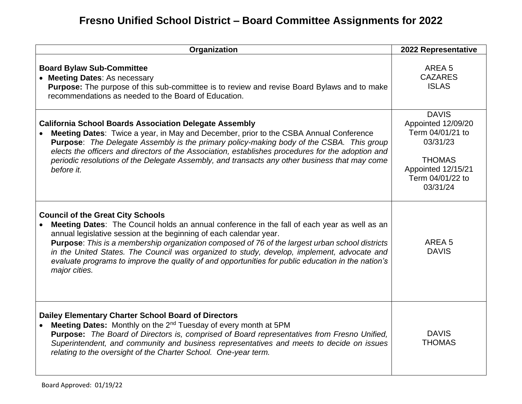## **Fresno Unified School District – Board Committee Assignments for 2022**

| Organization                                                                                                                                                                                                                                                                                                                                                                                                                                                                                                                                  | 2022 Representative                                                                                                                       |
|-----------------------------------------------------------------------------------------------------------------------------------------------------------------------------------------------------------------------------------------------------------------------------------------------------------------------------------------------------------------------------------------------------------------------------------------------------------------------------------------------------------------------------------------------|-------------------------------------------------------------------------------------------------------------------------------------------|
| <b>Board Bylaw Sub-Committee</b><br>• Meeting Dates: As necessary<br>Purpose: The purpose of this sub-committee is to review and revise Board Bylaws and to make<br>recommendations as needed to the Board of Education.                                                                                                                                                                                                                                                                                                                      | AREA <sub>5</sub><br><b>CAZARES</b><br><b>ISLAS</b>                                                                                       |
| <b>California School Boards Association Delegate Assembly</b><br>Meeting Dates: Twice a year, in May and December, prior to the CSBA Annual Conference<br>Purpose: The Delegate Assembly is the primary policy-making body of the CSBA. This group<br>elects the officers and directors of the Association, establishes procedures for the adoption and<br>periodic resolutions of the Delegate Assembly, and transacts any other business that may come<br>before it.                                                                        | <b>DAVIS</b><br>Appointed 12/09/20<br>Term 04/01/21 to<br>03/31/23<br><b>THOMAS</b><br>Appointed 12/15/21<br>Term 04/01/22 to<br>03/31/24 |
| <b>Council of the Great City Schools</b><br>Meeting Dates: The Council holds an annual conference in the fall of each year as well as an<br>annual legislative session at the beginning of each calendar year.<br><b>Purpose:</b> This is a membership organization composed of 76 of the largest urban school districts<br>in the United States. The Council was organized to study, develop, implement, advocate and<br>evaluate programs to improve the quality of and opportunities for public education in the nation's<br>major cities. | AREA <sub>5</sub><br><b>DAVIS</b>                                                                                                         |
| <b>Dailey Elementary Charter School Board of Directors</b><br>Meeting Dates: Monthly on the 2 <sup>nd</sup> Tuesday of every month at 5PM<br>Purpose: The Board of Directors is, comprised of Board representatives from Fresno Unified,<br>Superintendent, and community and business representatives and meets to decide on issues<br>relating to the oversight of the Charter School. One-year term.                                                                                                                                       | <b>DAVIS</b><br><b>THOMAS</b>                                                                                                             |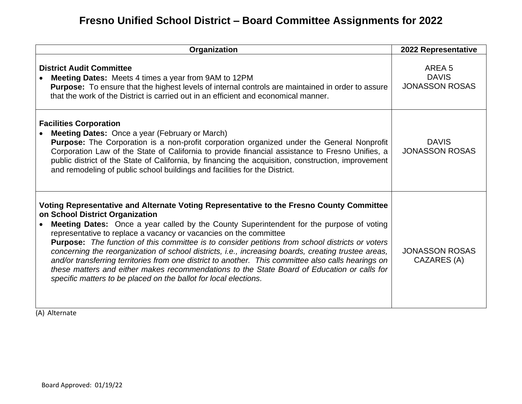## **Fresno Unified School District – Board Committee Assignments for 2022**

| Organization                                                                                                                                                                                                                                                                                                                                                                                                                                                                                                                                                                                                                                                                                                                                                                                                      | 2022 Representative                                        |
|-------------------------------------------------------------------------------------------------------------------------------------------------------------------------------------------------------------------------------------------------------------------------------------------------------------------------------------------------------------------------------------------------------------------------------------------------------------------------------------------------------------------------------------------------------------------------------------------------------------------------------------------------------------------------------------------------------------------------------------------------------------------------------------------------------------------|------------------------------------------------------------|
| <b>District Audit Committee</b><br><b>Meeting Dates:</b> Meets 4 times a year from 9AM to 12PM<br>Purpose: To ensure that the highest levels of internal controls are maintained in order to assure<br>that the work of the District is carried out in an efficient and economical manner.                                                                                                                                                                                                                                                                                                                                                                                                                                                                                                                        | AREA <sub>5</sub><br><b>DAVIS</b><br><b>JONASSON ROSAS</b> |
| <b>Facilities Corporation</b><br><b>Meeting Dates:</b> Once a year (February or March)<br><b>Purpose:</b> The Corporation is a non-profit corporation organized under the General Nonprofit<br>Corporation Law of the State of California to provide financial assistance to Fresno Unifies, a<br>public district of the State of California, by financing the acquisition, construction, improvement<br>and remodeling of public school buildings and facilities for the District.                                                                                                                                                                                                                                                                                                                               | <b>DAVIS</b><br><b>JONASSON ROSAS</b>                      |
| Voting Representative and Alternate Voting Representative to the Fresno County Committee<br>on School District Organization<br>Meeting Dates: Once a year called by the County Superintendent for the purpose of voting<br>representative to replace a vacancy or vacancies on the committee<br><b>Purpose:</b> The function of this committee is to consider petitions from school districts or voters<br>concerning the reorganization of school districts, i.e., increasing boards, creating trustee areas,<br>and/or transferring territories from one district to another. This committee also calls hearings on<br>these matters and either makes recommendations to the State Board of Education or calls for<br>specific matters to be placed on the ballot for local elections.<br>$\sqrt{a}$ $\sqrt{a}$ | <b>JONASSON ROSAS</b><br>CAZARES (A)                       |

(A) Alternate